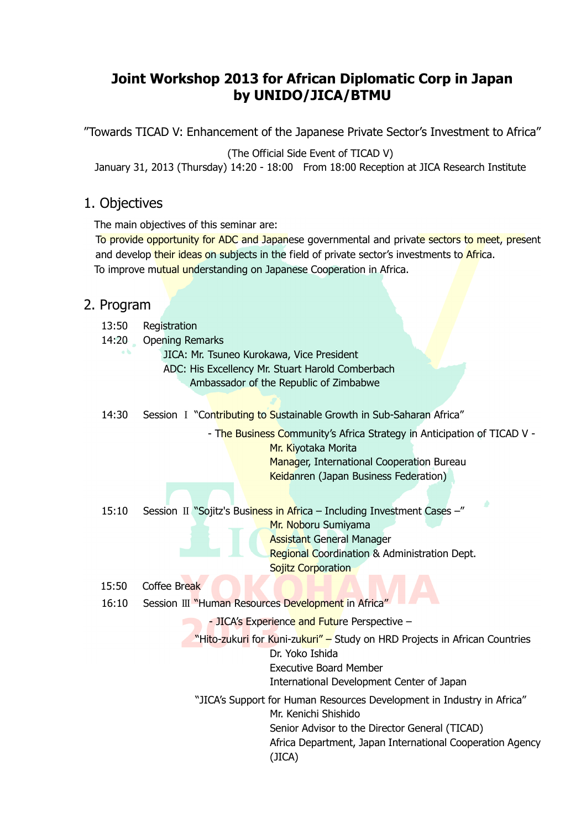# **Joint Workshop 2013 for African Diplomatic Corp in Japan by UNIDO/JICA/BTMU**

"Towards TICAD V: Enhancement of the Japanese Private Sector's Investment to Africa"

(The Official Side Event of TICAD V)

January 31, 2013 (Thursday) 14:20 - 18:00 From 18:00 Reception at JICA Research Institute

## 1. Objectives

The main objectives of this seminar are:

To provide opportunity for ADC and Japanese governmental and private sectors to meet, present and develop their ideas on subjects in the field of private sector's investments to Africa. To improve mutual understanding on Japanese Cooperation in Africa.

### 2. Program

- 13:50 Registration
- 14:20 Opening Remarks
	- JICA: Mr. Tsuneo Kurokawa, Vice President
	- ADC: His Excellency Mr. Stuart Harold Comberbach

Ambassador of the Republic of Zimbabwe

14:30 Session I "Contributing to Sustainable Growth in Sub-Saharan Africa"

- The Business Community's Africa Strategy in Anticipation of TICAD V -

Mr. Kiyotaka Morita Manager, International Cooperation Bureau Keidanren (Japan Business Federation)

15:10 Session II "Sojitz's Business in Africa – Including Investment Cases –"

Mr. Noboru Sumiyama

Assistant General Manager

Regional Coordination & Administration Dept.

**Sojitz Corporation** 

- 15:50 Coffee Break
- 16:10 Session Ⅲ "Human Resources Development in Africa"

- JICA's Experience and Future Perspective –

"Hito-zukuri for Kuni-zukuri" – Study on HRD Projects in African Countries Dr. Yoko Ishida Executive Board Member

International Development Center of Japan

"JICA's Support for Human Resources Development in Industry in Africa" Mr. Kenichi Shishido Senior Advisor to the Director General (TICAD) Africa Department, Japan International Cooperation Agency

(JICA)